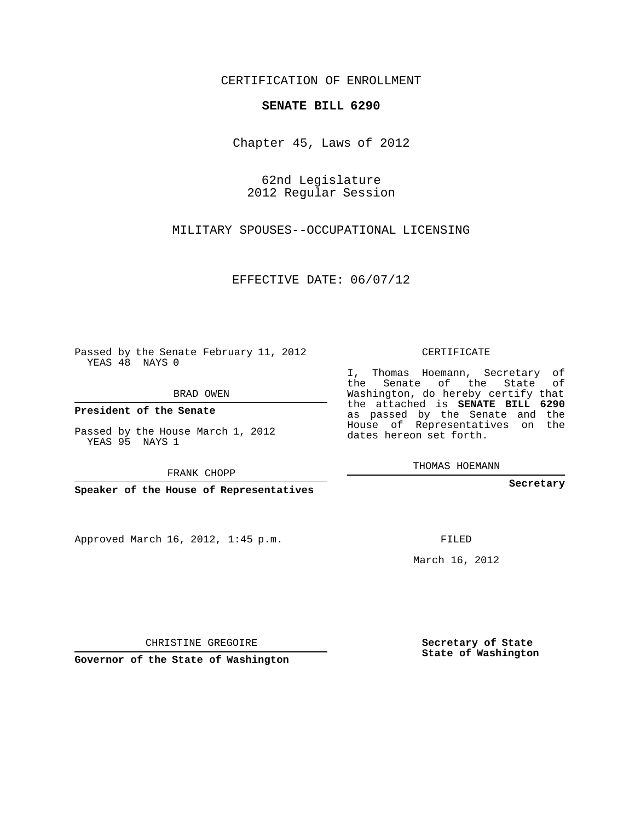## CERTIFICATION OF ENROLLMENT

## **SENATE BILL 6290**

Chapter 45, Laws of 2012

62nd Legislature 2012 Regular Session

MILITARY SPOUSES--OCCUPATIONAL LICENSING

EFFECTIVE DATE: 06/07/12

Passed by the Senate February 11, 2012 YEAS 48 NAYS 0

BRAD OWEN

**President of the Senate**

Passed by the House March 1, 2012 YEAS 95 NAYS 1

FRANK CHOPP

**Speaker of the House of Representatives**

Approved March 16, 2012, 1:45 p.m.

CERTIFICATE

I, Thomas Hoemann, Secretary of the Senate of the State of Washington, do hereby certify that the attached is **SENATE BILL 6290** as passed by the Senate and the House of Representatives on the dates hereon set forth.

THOMAS HOEMANN

**Secretary**

FILED

March 16, 2012

**Secretary of State State of Washington**

CHRISTINE GREGOIRE

**Governor of the State of Washington**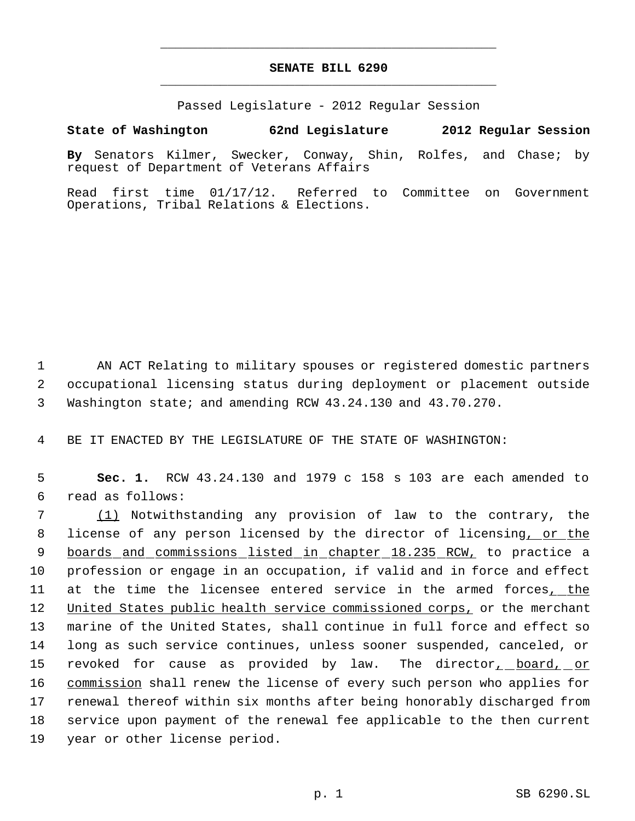## **SENATE BILL 6290** \_\_\_\_\_\_\_\_\_\_\_\_\_\_\_\_\_\_\_\_\_\_\_\_\_\_\_\_\_\_\_\_\_\_\_\_\_\_\_\_\_\_\_\_\_

\_\_\_\_\_\_\_\_\_\_\_\_\_\_\_\_\_\_\_\_\_\_\_\_\_\_\_\_\_\_\_\_\_\_\_\_\_\_\_\_\_\_\_\_\_

Passed Legislature - 2012 Regular Session

## **State of Washington 62nd Legislature 2012 Regular Session**

**By** Senators Kilmer, Swecker, Conway, Shin, Rolfes, and Chase; by request of Department of Veterans Affairs

Read first time 01/17/12. Referred to Committee on Government Operations, Tribal Relations & Elections.

 1 AN ACT Relating to military spouses or registered domestic partners 2 occupational licensing status during deployment or placement outside 3 Washington state; and amending RCW 43.24.130 and 43.70.270.

4 BE IT ENACTED BY THE LEGISLATURE OF THE STATE OF WASHINGTON:

 5 **Sec. 1.** RCW 43.24.130 and 1979 c 158 s 103 are each amended to 6 read as follows:

 (1) Notwithstanding any provision of law to the contrary, the 8 license of any person licensed by the director of licensing, or the 9 boards and commissions listed in chapter 18.235 RCW, to practice a profession or engage in an occupation, if valid and in force and effect at the time the licensee entered service in the armed forces, the 12 United States public health service commissioned corps, or the merchant marine of the United States, shall continue in full force and effect so long as such service continues, unless sooner suspended, canceled, or 15 revoked for cause as provided by law. The director<u>, board, or</u> 16 commission shall renew the license of every such person who applies for renewal thereof within six months after being honorably discharged from service upon payment of the renewal fee applicable to the then current year or other license period.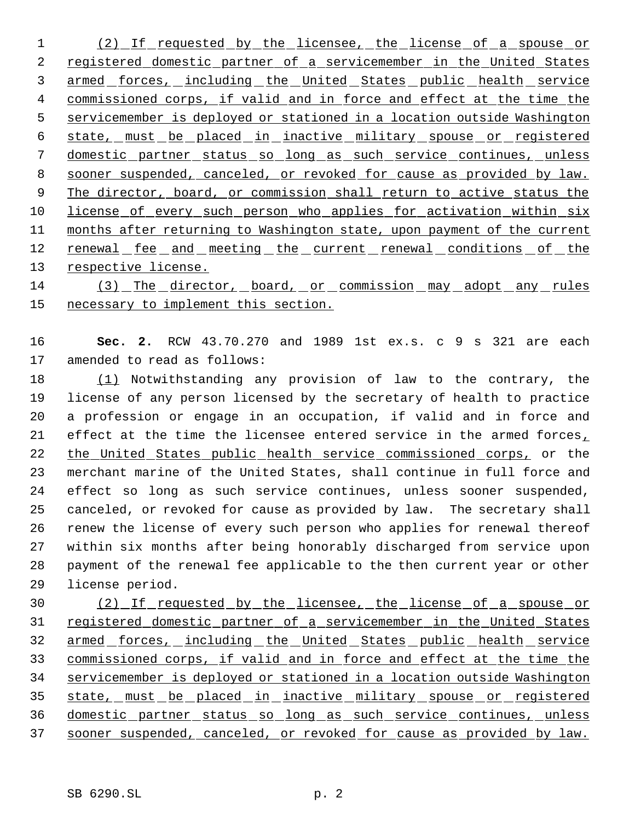1 (2) If requested by the licensee, the license of a spouse or 2 registered domestic partner of a servicemember in the United States 3 armed forces, including the United States public health service 4 commissioned corps, if valid and in force and effect at the time the servicemember is deployed or stationed in a location outside Washington state, must be placed in inactive military spouse or registered domestic partner status so long as such service continues, unless sooner suspended, canceled, or revoked for cause as provided by law. 9 The director, board, or commission shall return to active status the license of every such person who applies for activation within six 11 months after returning to Washington state, upon payment of the current 12 renewal fee and meeting the current renewal conditions of the 13 respective license.

 (3) The director, board, or commission may adopt any rules necessary to implement this section.

 **Sec. 2.** RCW 43.70.270 and 1989 1st ex.s. c 9 s 321 are each amended to read as follows:

 (1) Notwithstanding any provision of law to the contrary, the license of any person licensed by the secretary of health to practice a profession or engage in an occupation, if valid and in force and effect at the time the licensee entered service in the armed forces, the United States public health service commissioned corps, or the merchant marine of the United States, shall continue in full force and effect so long as such service continues, unless sooner suspended, canceled, or revoked for cause as provided by law. The secretary shall renew the license of every such person who applies for renewal thereof within six months after being honorably discharged from service upon payment of the renewal fee applicable to the then current year or other license period.

 (2) If requested by the licensee, the license of a spouse or registered domestic partner of a servicemember in the United States 32 armed forces, including the United States public health service commissioned corps, if valid and in force and effect at the time the servicemember is deployed or stationed in a location outside Washington state, must be placed in inactive military spouse or registered domestic partner status so long as such service continues, unless sooner suspended, canceled, or revoked for cause as provided by law.